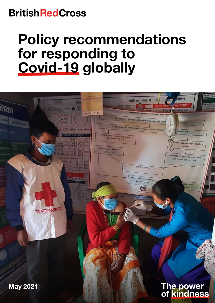## **BritishRedCross**

# Policy recommendations for responding to Covid-19 globally

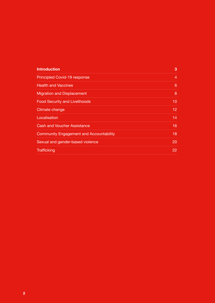| <b>Introduction</b>                            | 3  |
|------------------------------------------------|----|
| <b>Principled Covid-19 response</b>            | 4  |
| <b>Health and Vaccines</b>                     | 6  |
| <b>Migration and Displacement</b>              | 8  |
| <b>Food Security and Livelihoods</b>           | 10 |
| Climate change                                 | 12 |
| Localisation                                   | 14 |
| <b>Cash and Voucher Assistance</b>             | 16 |
| <b>Community Engagement and Accountability</b> | 18 |
| Sexual and gender-based violence               | 20 |
| <b>Trafficking</b>                             | 22 |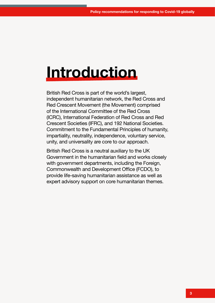# **Introduction**

British Red Cross is part of the world's largest, independent humanitarian network, the Red Cross and Red Crescent Movement (the Movement) comprised of the International Committee of the Red Cross (ICRC), International Federation of Red Cross and Red Crescent Societies (IFRC), and 192 National Societies. Commitment to the Fundamental Principles of humanity, impartiality, neutrality, independence, voluntary service, unity, and universality are core to our approach.

British Red Cross is a neutral auxiliary to the UK Government in the humanitarian field and works closely with government departments, including the Foreign, Commonwealth and Development Office (FCDO), to provide life-saving humanitarian assistance as well as expert advisory support on core humanitarian themes.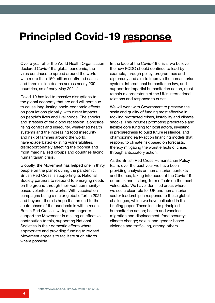## **Principled Covid-19 response**

Over a year after the World Health Organisation declared Covid-19 a global pandemic, the virus continues to spread around the world, with more than 150 million confirmed cases and three million deaths across nearly 200 countries, as of early May 2021.1

Covid-19 has led to massive disruptions to the global economy that are and will continue to cause long-lasting socio-economic effects on populations globally, with direct impacts on people's lives and livelihoods. The shocks and stresses of the global recession, alongside rising conflict and insecurity, weakened health systems and the increasing food insecurity and risk of famines around the world, have exacerbated existing vulnerabilities, disproportionately affecting the poorest and most marginalised groups and countries facing humanitarian crisis.

Globally, the Movement has helped one in thirty people on the planet during the pandemic. British Red Cross is supporting its National Society partners to respond to emerging needs on the ground through their vast communitybased volunteer networks. With vaccination campaigns being a major global effort in 2021 and beyond, there is hope that an end to the acute phase of the pandemic is within reach. British Red Cross is willing and eager to support the Movement in making an effective contribution to this, supporting National Societies in their domestic efforts where appropriate and providing funding to revised Movement appeals to facilitate such efforts where possible.

In the face of the Covid-19 crisis, we believe the new FCDO should continue to lead by example, through policy, programmes and diplomacy and aim to improve the humanitarian system. International humanitarian law, and support for impartial humanitarian action, must remain a cornerstone of the UK's international relations and response to crises.

We will work with Government to preserve the scale and quality of funding most effective in tackling protracted crises, instability and climate shocks. This includes promoting predictable and flexible core funding for local actors, investing in preparedness to build future resilience, and championing early-action financing models that respond to climate risk based on forecasts, thereby mitigating the worst effects of crises through anticipatory action.

As the British Red Cross Humanitarian Policy team, over the past year we have been providing analysis on humanitarian contexts and themes, taking into account the Covid-19 outbreak and its long-term effects on the most vulnerable. We have identified areas where we see a clear role for UK and humanitarian sector leadership in response to these global challenges, which we have collected in this briefing paper. These include principled humanitarian action; health and vaccines; migration and displacement; food security; climate change; sexual and gender-based violence and trafficking, among others.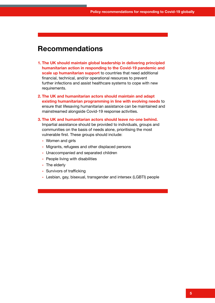- **1. The UK should maintain global leadership in delivering principled humanitarian action in responding to the Covid-19 pandemic and scale up humanitarian support** to countries that need additional financial, technical, and/or operational resources to prevent further infections and assist healthcare systems to cope with new requirements.
- **2. The UK and humanitarian actors should maintain and adapt existing humanitarian programming in line with evolving needs** to ensure that lifesaving humanitarian assistance can be maintained and mainstreamed alongside Covid-19 response activities.
- **3. The UK and humanitarian actors should leave no-one behind.** Impartial assistance should be provided to individuals, groups and communities on the basis of needs alone, prioritising the most vulnerable first. These groups should include:
	- **-** Women and girls
	- **-** Migrants, refugees and other displaced persons
	- **-** Unaccompanied and separated children
	- **-** People living with disabilities
	- **-** The elderly
	- **-** Survivors of trafficking
	- **-** Lesbian, gay, bisexual, transgender and intersex (LGBTI) people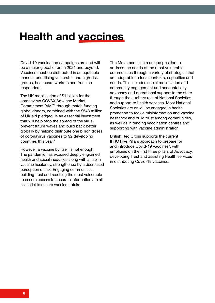## **Health and vaccines**

Covid-19 vaccination campaigns are and will be a major global effort in 2021 and beyond. Vaccines must be distributed in an equitable manner, prioritising vulnerable and high-risk groups, healthcare workers and frontline responders.

The UK mobilisation of \$1 billion for the coronavirus COVAX Advance Market Commitment (AMC) through match funding global donors, combined with the £548 million of UK aid pledged, is an essential investment that will help stop the spread of the virus, prevent future waves and build back better globally by helping distribute one billion doses of coronavirus vaccines to 92 developing countries this year. $2$ 

However, a vaccine by itself is not enough. The pandemic has exposed deeply engrained health and social inequities along with a rise in vaccine hesitancy, strengthened by a decreased perception of risk. Engaging communities, building trust and reaching the most vulnerable to ensure access to accurate information are all essential to ensure vaccine uptake.

The Movement is in a unique position to address the needs of the most vulnerable communities through a variety of strategies that are adaptable to local contexts, capacities and needs. This includes social mobilisation and community engagement and accountability, advocacy and operational support to the state through the auxiliary role of National Societies, and support to health services. Most National Societies are or will be engaged in health promotion to tackle misinformation and vaccine hesitancy and build trust among communities, as well as in tending vaccination centres and supporting with vaccine administration.

British Red Cross supports the current IFRC Five Pillars approach to prepare for and introduce Covid-19 vaccines<sup>3</sup>, with emphasis on the first three pillars of Advocacy, developing Trust and assisting Health services in distributing Covid-19 vaccines.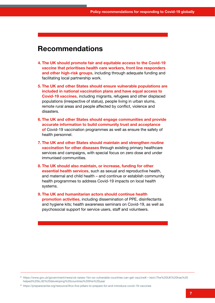- **4. The UK should promote fair and equitable access to the Covid-19 vaccine that prioritises health care workers, front line responders and other high-risk groups**, including through adequate funding and facilitating local partnership work.
- **5. The UK and other States should ensure vulnerable populations are included in national vaccination plans and have equal access to Covid-19 vaccines**, including migrants, refugees and other displaced populations (irrespective of status), people living in urban slums, remote rural areas and people affected by conflict, violence and disasters.
- **6. The UK and other States should engage communities and provide accurate information to build community trust and acceptance of** Covid-19 vaccination programmes as well as ensure the safety of health personnel.
- **7. The UK and other States should maintain and strengthen routine vaccination for other diseases** through existing primary healthcare services and campaigns, with special focus on zero dose and under immunised communities.
- **8. The UK should also maintain, or increase, funding for other essential health services**, such as sexual and reproductive health, and maternal and child health – and continue or establish community health programmes to address Covid-19 impacts on local health systems.
- **9. The UK and humanitarian actors should continue health promotion activities**, including dissemination of PPE, disinfectants and hygiene kits; health awareness seminars on Covid-19, as well as psychosocial support for service users, staff and volunteers.

<sup>2</sup> https://www.gov.uk/government/news/uk-raises-1bn-so-vulnerable-countries-can-get-vaccine#:~:text=The%20UK%20has%20 helped%20to,92%20developing%20countries%20this%20year

<sup>3</sup> https://preparecenter.org/resource/ifrcs-five-pillars-to-prepare-for-and-introduce-covid-19-vaccines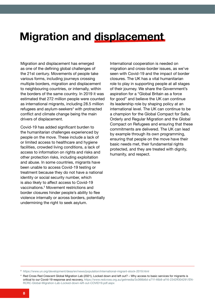## **Migration and displacement**

Migration and displacement has emerged as one of the defining global challenges of the 21st century. Movements of people take various forms, including journeys crossing multiple borders, migration and displacement to neighbouring countries, or internally, within the borders of the same country. In 2019 it was estimated that 272 million people were counted as international migrants, including 28.5 million refugees and asylum-seekers $4$  with protracted conflict and climate change being the main drivers of displacement.

Covid-19 has added significant burden to the humanitarian challenges experienced by people on the move. These include a lack of or limited access to healthcare and hygiene facilities, crowded living conditions, a lack of access to information on rights and risks and other protection risks, including exploitation and abuse. In some countries, migrants have been unable to access Covid-19 testing or treatment because they do not have a national identity or social security number, which is also likely to affect access to Covid-19 vaccinations.5 Movement restrictions and border closures hinder people's ability to flee violence internally or across borders, potentially undermining the right to seek asylum.

International cooperation is needed on migration and cross-border issues, as we've seen with Covid-19 and the impact of border closures. The UK has a vital humanitarian role to play in supporting people at all stages of their journey. We share the Government's aspiration for a "Global Britain as a force for good" and believe the UK can continue its leadership role by shaping policy at an international level. The UK can continue to be a champion for the Global Compact for Safe, Orderly and Regular Migration and the Global Compact on Refugees and ensuring that these commitments are delivered. The UK can lead by example through its own programming, ensuring that people on the move have their basic needs met, their fundamental rights protected, and they are treated with dignity, humanity, and respect.

<sup>3</sup> https://www.un.org/development/desa/en/news/population/international-migrant-stock-2019.html

<sup>4</sup> Red Cross Red Crescent Global Migration Lab (2021), Locked down and left out? – Why access to basic services for migrants is critical to our Covid-19 response and recovery, https://www.redcross.org.au/getmedia/3c066b6d-a71f-46b8-af16-2342ff304291/EN-RCRC-Global-Migration-Lab-Locked-down-left-out-COVID19.pdf.aspx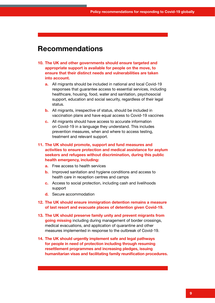- **10. The UK and other governments should ensure targeted and appropriate support is available for people on the move, to ensure that their distinct needs and vulnerabilities are taken into account.**
	- **a.** All migrants should be included in national and local Covid-19 responses that guarantee access to essential services, including healthcare, housing, food, water and sanitation, psychosocial support, education and social security, regardless of their legal status.
	- **b.** All migrants, irrespective of status, should be included in vaccination plans and have equal access to Covid-19 vaccines
	- **c.** All migrants should have access to accurate information on Covid-19 in a language they understand. This includes prevention measures, when and where to access testing, treatment and relevant support.
- **11. The UK should promote, support and fund measures and activities to ensure protection and medical assistance for asylum seekers and refugees without discrimination, during this public health emergency, including:**
	- **a.** Free access to health services
	- **b.** Improved sanitation and hygiene conditions and access to health care in reception centres and camps
	- **c.** Access to social protection, including cash and livelihoods support
	- **d.** Secure accommodation
- **12. The UK should ensure immigration detention remains a measure of last resort and evacuate places of detention given Covid-19.**
- **13. The UK should preserve family unity and prevent migrants from going missing** including during management of border crossings, medical evacuations, and application of quarantine and other measures implemented in response to the outbreak of Covid-19.
- **14. The UK should urgently implement safe and legal pathways for people in need of protection including through resuming resettlement programmes and increasing pledges, issuing humanitarian visas and facilitating family reunification procedures.**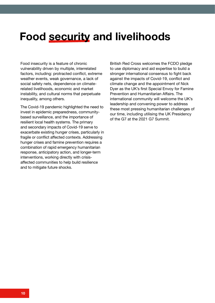## **Food security and livelihoods**

Food insecurity is a feature of chronic vulnerability driven by multiple, interrelated factors, including: protracted conflict, extreme weather events, weak governance, a lack of social safety nets, dependence on climaterelated livelihoods, economic and market instability, and cultural norms that perpetuate inequality, among others.

The Covid-19 pandemic highlighted the need to invest in epidemic preparedness, communitybased surveillance, and the importance of resilient local health systems. The primary and secondary impacts of Covid-19 serve to exacerbate existing hunger crises, particularly in fragile or conflict affected contexts. Addressing hunger crises and famine prevention requires a combination of rapid emergency humanitarian response, anticipatory action, and longer-term interventions, working directly with crisisaffected communities to help build resilience and to mitigate future shocks.

British Red Cross welcomes the FCDO pledge to use diplomacy and aid expertise to build a stronger international consensus to fight back against the impacts of Covid-19, conflict and climate change and the appointment of Nick Dyer as the UK's first Special Envoy for Famine Prevention and Humanitarian Affairs. The international community will welcome the UK's leadership and convening power to address these most pressing humanitarian challenges of our time, including utilising the UK Presidency of the G7 at the 2021 G7 Summit.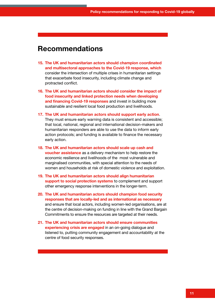- **15. The UK and humanitarian actors should champion coordinated and multisectoral approaches to the Covid-19 response, which** consider the intersection of multiple crises in humanitarian settings that exacerbate food insecurity, including climate change and protracted conflict.
- **16. The UK and humanitarian actors should consider the impact of food insecurity and linked protection needs when developing and financing Covid-19 responses** and invest in building more sustainable and resilient local food production and livelihoods.
- **17. The UK and humanitarian actors should support early action**. They must ensure early warning data is consistent and accessible; that local, national, regional and international decision-makers and humanitarian responders are able to use the data to inform early action protocols; and funding is available to finance the necessary early action.
- **18. The UK and humanitarian actors should scale up cash and voucher assistance** as a delivery mechanism to help restore the economic resilience and livelihoods of the most vulnerable and marginalised communities, with special attention to the needs of women and households at risk of domestic violence and exploitation.
- **19. The UK and humanitarian actors should align humanitarian support to social protection systems** to complement and support other emergency response interventions in the longer-term.
- **20. The UK and humanitarian actors should champion food security responses that are locally-led and as international as necessary** and ensure that local actors, including women-led organisations, are at the centre of decision-making on funding in line with the Grand Bargain Commitments to ensure the resources are targeted at their needs.
- **21. The UK and humanitarian actors should ensure communities experiencing crisis are engaged** in an on-going dialogue and listened to, putting community engagement and accountability at the centre of food security responses.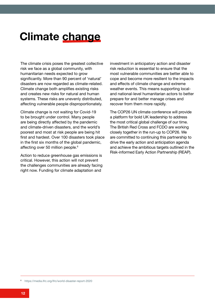## **Climate change**

The climate crisis poses the greatest collective risk we face as a global community, with humanitarian needs expected to grow significantly. More than 90 percent of 'natural' disasters are now regarded as climate-related. Climate change both amplifies existing risks and creates new risks for natural and human systems. These risks are unevenly distributed, affecting vulnerable people disproportionately.

Climate change is not waiting for Covid-19 to be brought under control. Many people are being directly affected by the pandemic and climate-driven disasters, and the world's poorest and most at risk people are being hit first and hardest. Over 100 disasters took place in the first six months of the global pandemic, affecting over 50 million people.<sup>6</sup>

Action to reduce greenhouse gas emissions is critical. However, this action will not prevent the challenges communities are already facing right now. Funding for climate adaptation and

investment in anticipatory action and disaster risk reduction is essential to ensure that the most vulnerable communities are better able to cope and become more resilient to the impacts and effects of climate change and extreme weather events. This means supporting localand national-level humanitarian actors to better prepare for and better manage crises and recover from them more rapidly.

The COP26 UN climate conference will provide a platform for bold UK leadership to address the most critical global challenge of our time. The British Red Cross and FCDO are working closely together in the run-up to COP26. We are committed to continuing this partnership to drive the early action and anticipation agenda and achieve the ambitious targets outlined in the Risk-informed Early Action Partnership (REAP).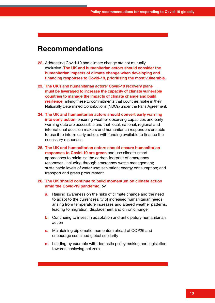- **22.** Addressing Covid-19 and climate change are not mutually exclusive. **The UK and humanitarian actors should consider the humanitarian impacts of climate change when developing and financing responses to Covid-19, prioritising the most vulnerable**.
- **23. The UK's and humanitarian actors' Covid-19 recovery plans must be leveraged to increase the capacity of climate vulnerable countries to manage the impacts of climate change and build resilience**, linking these to commitments that countries make in their Nationally Determined Contributions (NDCs) under the Paris Agreement.
- **24. The UK and humanitarian actors should convert early warning into early action**, ensuring weather observing capacities and early warning data are accessible and that local, national, regional and international decision makers and humanitarian responders are able to use it to inform early action, with funding available to finance the necessary responses.
- **25. The UK and humanitarian actors should ensure humanitarian responses to Covid-19 are green** and use climate-smart approaches to minimise the carbon footprint of emergency responses, including through emergency waste management; sustainable levels of water use; sanitation; energy consumption; and transport and green procurement.

#### **26. The UK should continue to build momentum on climate action amid the Covid-19 pandemic**, by

- **a.** Raising awareness on the risks of climate change and the need to adapt to the current reality of increased humanitarian needs arising from temperature increases and altered weather patterns, leading to migration, displacement and chronic hunger
- **b.** Continuing to invest in adaptation and anticipatory humanitarian action
- **c.** Maintaining diplomatic momentum ahead of COP26 and encourage sustained global solidarity
- **d.** Leading by example with domestic policy making and legislation towards achieving net zero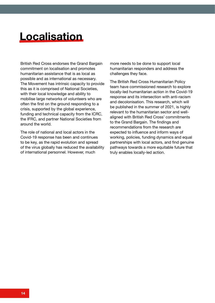## **Localisation**

British Red Cross endorses the Grand Bargain commitment on localisation and promotes humanitarian assistance that is as local as possible and as international as necessary. The Movement has intrinsic capacity to provide this as it is comprised of National Societies, with their local knowledge and ability to mobilise large networks of volunteers who are often the first on the ground responding to a crisis, supported by the global experience, funding and technical capacity from the ICRC, the IFRC, and partner National Societies from around the world.

The role of national and local actors in the Covid-19 response has been and continues to be key, as the rapid evolution and spread of the virus globally has reduced the availability of international personnel. However, much

more needs to be done to support local humanitarian responders and address the challenges they face.

The British Red Cross Humanitarian Policy team have commissioned research to explore locally-led humanitarian action in the Covid-19 response and its intersection with anti-racism and decolonisation. This research, which will be published in the summer of 2021, is highly relevant to the humanitarian sector and wellaligned with British Red Cross' commitments to the Grand Bargain. The findings and recommendations from the research are expected to influence and inform ways of working, policies, funding dynamics and equal partnerships with local actors, and find genuine pathways towards a more equitable future that truly enables locally-led action.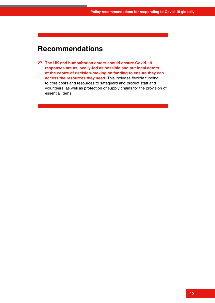**27. The UK and humanitarian actors should ensure Covid-19 responses are as locally-led as possible and put local actors at the centre of decision-making on funding to ensure they can access the resources they need.** This includes flexible funding to core costs and resources to safeguard and protect staff and volunteers, as well as protection of supply chains for the provision of essential items.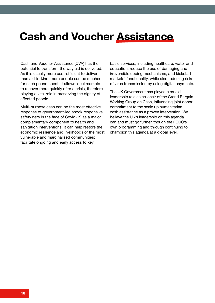## **Cash and Voucher Assistance**

Cash and Voucher Assistance (CVA) has the potential to transform the way aid is delivered. As it is usually more cost-efficient to deliver than aid-in-kind, more people can be reached for each pound spent. It allows local markets to recover more quickly after a crisis, therefore playing a vital role in preserving the dignity of affected people.

Multi-purpose cash can be the most effective response of government-led shock responsive safety nets in the face of Covid-19 as a major complementary component to health and sanitation interventions. It can help restore the economic resilience and livelihoods of the most vulnerable and marginalised communities; facilitate ongoing and early access to key

basic services, including healthcare, water and education; reduce the use of damaging and irreversible coping mechanisms; and kickstart markets' functionality, while also reducing risks of virus transmission by using digital payments.

The UK Government has played a crucial leadership role as co-chair of the Grand Bargain Working Group on Cash, influencing joint donor commitment to the scale up humanitarian cash assistance as a proven intervention. We believe the UK's leadership on this agenda can and must go further, though the FCDO's own programming and through continuing to champion this agenda at a global level.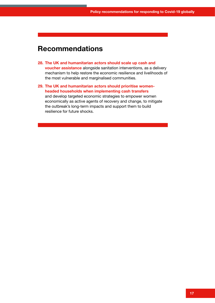- **28. The UK and humanitarian actors should scale up cash and voucher assistance** alongside sanitation interventions, as a delivery mechanism to help restore the economic resilience and livelihoods of the most vulnerable and marginalised communities.
- **29. The UK and humanitarian actors should prioritise womenheaded households when implementing cash transfers** and develop targeted economic strategies to empower women economically as active agents of recovery and change, to mitigate the outbreak's long-term impacts and support them to build resilience for future shocks.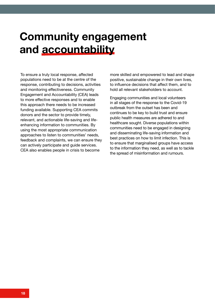## **Community engagement and accountability**

To ensure a truly local response, affected populations need to be at the centre of the response, contributing to decisions, activities and monitoring effectiveness. Community Engagement and Accountability (CEA) leads to more effective responses and to enable this approach there needs to be increased funding available. Supporting CEA commits donors and the sector to provide timely, relevant, and actionable life-saving and lifeenhancing information to communities. By using the most appropriate communication approaches to listen to communities' needs, feedback and complaints, we can ensure they can actively participate and guide services. CEA also enables people in crisis to become

more skilled and empowered to lead and shape positive, sustainable change in their own lives, to influence decisions that affect them, and to hold all relevant stakeholders to account.

Engaging communities and local volunteers in all stages of the response to the Covid-19 outbreak from the outset has been and continues to be key to build trust and ensure public health measures are adhered to and healthcare sought. Diverse populations within communities need to be engaged in designing and disseminating life-saving information and best practices on how to limit infection. This is to ensure that marginalised groups have access to the information they need, as well as to tackle the spread of misinformation and rumours.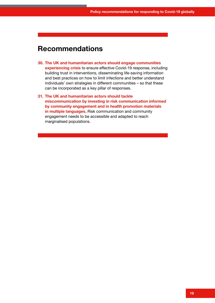- **30. The UK and humanitarian actors should engage communities experiencing crisis** to ensure effective Covid-19 response, including building trust in interventions, disseminating life-saving information and best practices on how to limit infections and better understand individuals' own strategies in different communities – so that these can be incorporated as a key pillar of responses.
- **31. The UK and humanitarian actors should tackle miscommunication by investing in risk communication informed by community engagement and in health promotion materials in multiple languages.** Risk communication and community engagement needs to be accessible and adapted to reach marginalised populations.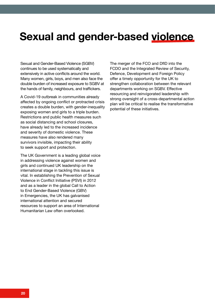## **Sexual and gender-based violence**

Sexual and Gender-Based Violence (SGBV) continues to be used systematically and extensively in active conflicts around the world. Many women, girls, boys, and men also face the double burden of increased exposure to SGBV at the hands of family, neighbours, and traffickers.

A Covid-19 outbreak in communities already affected by ongoing conflict or protracted crisis creates a double burden, with gender-inequality exposing women and girls to a triple burden. Restrictions and public health measures such as social distancing and school closures, have already led to the increased incidence and severity of domestic violence. These measures have also rendered many survivors invisible, impacting their ability to seek support and protection.

The UK Government is a leading global voice in addressing violence against women and girls and continued UK leadership on the international stage in tackling this issue is vital. In establishing the Prevention of Sexual Violence in Conflict Initiative (PSVI) in 2012 and as a leader in the global Call to Action to End Gender-Based Violence (GBV) in Emergencies, the UK has galvanised international attention and secured resources to support an area of International Humanitarian Law often overlooked.

The merger of the FCO and DfID into the FCDO and the Integrated Review of Security, Defence, Development and Foreign Policy offer a timely opportunity for the UK to strengthen collaboration between the relevant departments working on SGBV. Effective resourcing and reinvigorated leadership with strong oversight of a cross-departmental action plan will be critical to realise the transformative potential of these initiatives.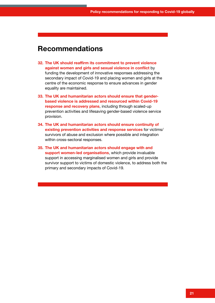- **32. The UK should reaffirm its commitment to prevent violence against women and girls and sexual violence in conflict** by funding the development of innovative responses addressing the secondary impact of Covid-19 and placing women and girls at the centre of the economic response to ensure advances in gender equality are maintained.
- **33. The UK and humanitarian actors should ensure that genderbased violence is addressed and resourced within Covid-19 response and recovery plans**, including through scaled-up prevention activities and lifesaving gender-based violence service provision.
- **34. The UK and humanitarian actors should ensure continuity of existing prevention activities and response services** for victims/ survivors of abuse and exclusion where possible and integration within cross-sectoral responses.
- **35. The UK and humanitarian actors should engage with and support women-led organisations**, which provide invaluable support in accessing marginalised women and girls and provide survivor support to victims of domestic violence, to address both the primary and secondary impacts of Covid-19.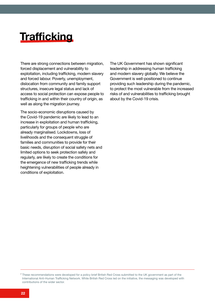## **Trafficking**

There are strong connections between migration, forced displacement and vulnerability to exploitation, including trafficking, modern slavery and forced labour. Poverty, unemployment, dislocation from community and family support structures, insecure legal status and lack of access to social protection can expose people to trafficking in and within their country of origin, as well as along the migration journey.

The socio-economic disruptions caused by the Covid-19 pandemic are likely to lead to an increase in exploitation and human trafficking, particularly for groups of people who are already marginalised. Lockdowns, loss of livelihoods and the consequent struggle of families and communities to provide for their basic needs, disruption of social safety nets and limited options to seek protection safely and regularly, are likely to create the conditions for the emergence of new trafficking trends while heightening vulnerabilities of people already in conditions of exploitation.

The UK Government has shown significant leadership in addressing human trafficking and modern slavery globally. We believe the Government is well-positioned to continue providing such leadership during the pandemic, to protect the most vulnerable from the increased risks of and vulnerabilities to trafficking brought about by the Covid-19 crisis.

<sup>7</sup> These recommendations were developed for a policy brief British Red Cross submitted to the UK government as part of the International Anti-Human Trafficking Network. While British Red Cross led on the initiative, the messaging was developed with contributions of the wider sector.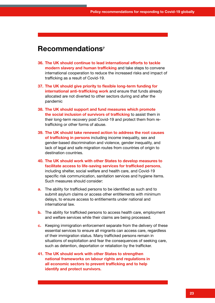- **36. The UK should continue to lead international efforts to tackle modern slavery and human trafficking** and take steps to convene international cooperation to reduce the increased risks and impact of trafficking as a result of Covid-19.
- **37. The UK should give priority to flexible long-term funding for international anti-trafficking work** and ensure that funds already allocated are not diverted to other sectors during and after the pandemic
- **38. The UK should support and fund measures which promote the social inclusion of survivors of trafficking** to assist them in their long-term recovery post Covid-19 and protect them from retrafficking or other forms of abuse.
- **39. The UK should take renewed action to address the root causes of trafficking in persons** including income inequality, sex and gender-based discrimination and violence, gender inequality, and lack of legal and safe migration routes from countries of origin to destination countries.
- **40. The UK should work with other States to develop measures to facilitate access to life-saving services for trafficked persons**, including shelter, social welfare and health care, and Covid-19 specific risk communication, sanitation services and hygiene items. Such measures should consider:
- **a.** The ability for trafficked persons to be identified as such and to submit asylum claims or access other entitlements with minimum delays, to ensure access to entitlements under national and international law.
- **b.** The ability for trafficked persons to access health care, employment and welfare services while their claims are being processed.
- **c.** Keeping immigration enforcement separate from the delivery of these essential services to ensure all migrants can access care, regardless of their immigration status. Many trafficked persons remain in situations of exploitation and fear the consequences of seeking care, such as detention, deportation or retaliation by the trafficker.
- **41. The UK should work with other States to strengthen national frameworks on labour rights and regulations in all economic sectors to prevent trafficking and to help identify and protect survivors.**